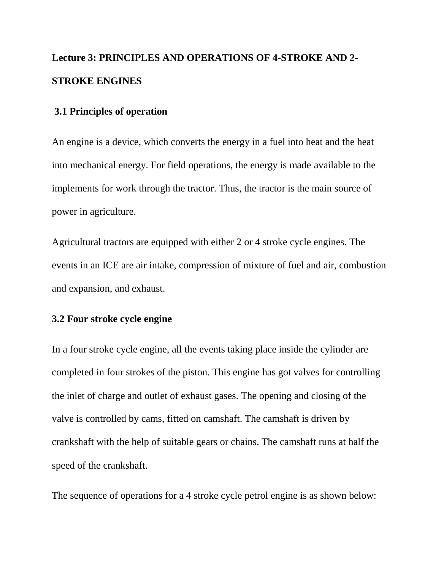# **Lecture 3: PRINCIPLES AND OPERATIONS OF 4-STROKE AND 2- STROKE ENGINES**

### **3.1 Principles of operation**

An engine is a device, which converts the energy in a fuel into heat and the heat into mechanical energy. For field operations, the energy is made available to the implements for work through the tractor. Thus, the tractor is the main source of power in agriculture.

Agricultural tractors are equipped with either 2 or 4 stroke cycle engines. The events in an ICE are air intake, compression of mixture of fuel and air, combustion and expansion, and exhaust.

#### **3.2 Four stroke cycle engine**

In a four stroke cycle engine, all the events taking place inside the cylinder are completed in four strokes of the piston. This engine has got valves for controlling the inlet of charge and outlet of exhaust gases. The opening and closing of the valve is controlled by cams, fitted on camshaft. The camshaft is driven by crankshaft with the help of suitable gears or chains. The camshaft runs at half the speed of the crankshaft.

The sequence of operations for a 4 stroke cycle petrol engine is as shown below: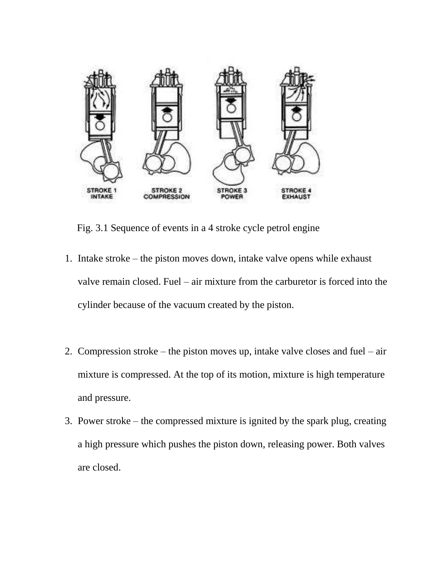

Fig. 3.1 Sequence of events in a 4 stroke cycle petrol engine

- 1. Intake stroke the piston moves down, intake valve opens while exhaust valve remain closed. Fuel – air mixture from the carburetor is forced into the cylinder because of the vacuum created by the piston.
- 2. Compression stroke the piston moves up, intake valve closes and fuel air mixture is compressed. At the top of its motion, mixture is high temperature and pressure.
- 3. Power stroke the compressed mixture is ignited by the spark plug, creating a high pressure which pushes the piston down, releasing power. Both valves are closed.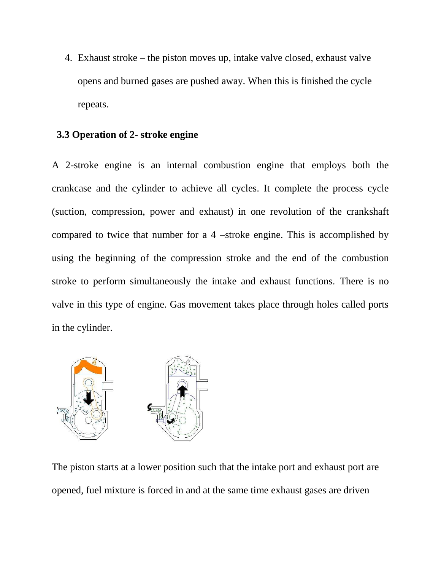4. Exhaust stroke – the piston moves up, intake valve closed, exhaust valve opens and burned gases are pushed away. When this is finished the cycle repeats.

#### **3.3 Operation of 2- stroke engine**

A 2-stroke engine is an internal combustion engine that employs both the crankcase and the cylinder to achieve all cycles. It complete the process cycle (suction, compression, power and exhaust) in one revolution of the crankshaft compared to twice that number for a 4 –stroke engine. This is accomplished by using the beginning of the compression stroke and the end of the combustion stroke to perform simultaneously the intake and exhaust functions. There is no valve in this type of engine. Gas movement takes place through holes called ports in the cylinder.



The piston starts at a lower position such that the intake port and exhaust port are opened, fuel mixture is forced in and at the same time exhaust gases are driven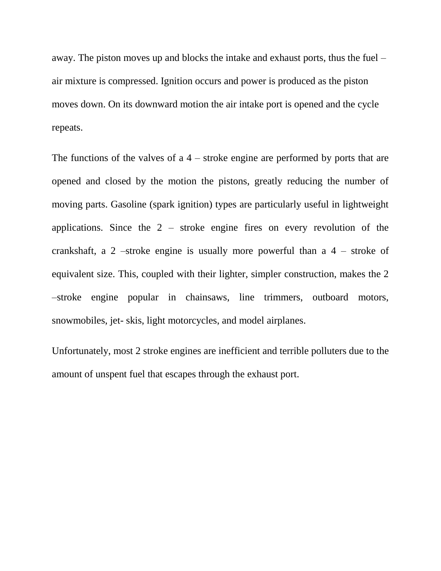away. The piston moves up and blocks the intake and exhaust ports, thus the fuel – air mixture is compressed. Ignition occurs and power is produced as the piston moves down. On its downward motion the air intake port is opened and the cycle repeats.

The functions of the valves of  $a$  4 – stroke engine are performed by ports that are opened and closed by the motion the pistons, greatly reducing the number of moving parts. Gasoline (spark ignition) types are particularly useful in lightweight applications. Since the  $2$  – stroke engine fires on every revolution of the crankshaft, a 2 –stroke engine is usually more powerful than a  $4$  – stroke of equivalent size. This, coupled with their lighter, simpler construction, makes the 2 –stroke engine popular in chainsaws, line trimmers, outboard motors, snowmobiles, jet- skis, light motorcycles, and model airplanes.

Unfortunately, most 2 stroke engines are inefficient and terrible polluters due to the amount of unspent fuel that escapes through the exhaust port.